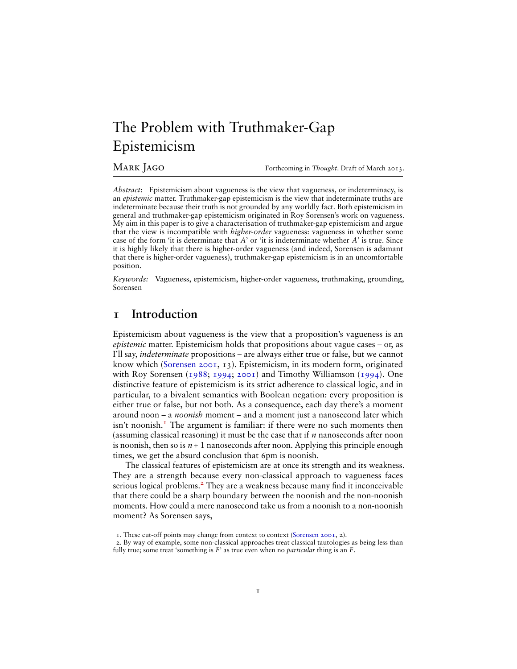# The Problem with Truthmaker-Gap Epistemicism

MARK JAGO **Forthcoming in Thought**. Draft of March 2013.

*Abstract*: Epistemicism about vagueness is the view that vagueness, or indeterminacy, is an *epistemic* matter. Truthmaker-gap epistemicism is the view that indeterminate truths are indeterminate because their truth is not grounded by any worldly fact. Both epistemicism in general and truthmaker-gap epistemicism originated in Roy Sorensen's work on vagueness. My aim in this paper is to give a characterisation of truthmaker-gap epistemicism and argue that the view is incompatible with *higher-order* vagueness: vagueness in whether some case of the form 'it is determinate that *A*' or 'it is indeterminate whether *A*' is true. Since it is highly likely that there is higher-order vagueness (and indeed, Sorensen is adamant that there is higher-order vagueness), truthmaker-gap epistemicism is in an uncomfortable position.

*Keywords:* Vagueness, epistemicism, higher-order vagueness, truthmaking, grounding, Sorensen

### <span id="page-0-2"></span>**1 Introduction**

Epistemicism about vagueness is the view that a proposition's vagueness is an *epistemic* matter. Epistemicism holds that propositions about vague cases – or, as I'll say, *indeterminate* propositions – are always either true or false, but we cannot know which [\(Sorensen](#page-9-0) [2001,](#page-9-0) 13). Epistemicism, in its modern form, originated with Roy Sorensen [\(1988;](#page-9-1) [1994;](#page-9-2) [2001\)](#page-9-0) and Timothy Williamson [\(1994\)](#page-10-0). One distinctive feature of epistemicism is its strict adherence to classical logic, and in particular, to a bivalent semantics with Boolean negation: every proposition is either true or false, but not both. As a consequence, each day there's a moment around noon – a *noonish* moment – and a moment just a nanosecond later which  $\sin^2$  noonish.<sup>[1](#page-0-0)</sup> The argument is familiar: if there were no such moments then (assuming classical reasoning) it must be the case that if *n* nanoseconds after noon is noonish, then so is  $n+1$  nanoseconds after noon. Applying this principle enough times, we get the absurd conclusion that 6pm is noonish.

The classical features of epistemicism are at once its strength and its weakness. They are a strength because every non-classical approach to vagueness faces serious logical problems.<sup>[2](#page-0-1)</sup> They are a weakness because many find it inconceivable that there could be a sharp boundary between the noonish and the non-noonish moments. How could a mere nanosecond take us from a noonish to a non-noonish moment? As Sorensen says,

<span id="page-0-1"></span><span id="page-0-0"></span><sup>1.</sup> These cut-off points may change from context to context [\(Sorensen](#page-9-0) [2001,](#page-9-0) 2).

<sup>2.</sup> By way of example, some non-classical approaches treat classical tautologies as being less than fully true; some treat 'something is *F*' as true even when no *particular* thing is an *F*.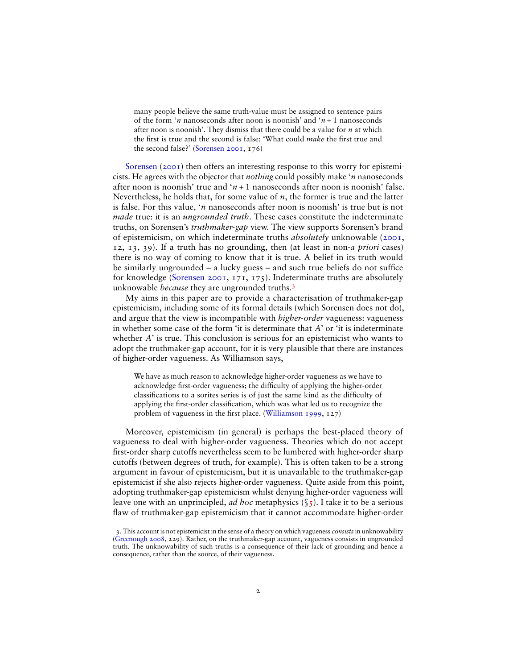many people believe the same truth-value must be assigned to sentence pairs of the form '*n* nanoseconds after noon is noonish' and '*n* + 1 nanoseconds after noon is noonish'. They dismiss that there could be a value for *n* at which the first is true and the second is false: 'What could *make* the first true and the second false?' [\(Sorensen](#page-9-0) [2001,](#page-9-0) 176)

[Sorensen](#page-9-0) [\(2001\)](#page-9-0) then offers an interesting response to this worry for epistemicists. He agrees with the objector that *nothing* could possibly make '*n* nanoseconds after noon is noonish' true and  $\gamma$  + 1 nanoseconds after noon is noonish' false. Nevertheless, he holds that, for some value of *n*, the former is true and the latter is false. For this value, '*n* nanoseconds after noon is noonish' is true but is not *made* true: it is an *ungrounded truth*. These cases constitute the indeterminate truths, on Sorensen's *truthmaker-gap* view. The view supports Sorensen's brand of epistemicism, on which indeterminate truths *absolutely* unknowable [\(2001,](#page-9-0) 12, 13, 39). If a truth has no grounding, then (at least in non-*a priori* cases) there is no way of coming to know that it is true. A belief in its truth would be similarly ungrounded – a lucky guess – and such true beliefs do not suffice for knowledge [\(Sorensen](#page-9-0) [2001,](#page-9-0) 171, 175). Indeterminate truths are absolutely unknowable *because* they are ungrounded truths.[3](#page-1-0)

My aims in this paper are to provide a characterisation of truthmaker-gap epistemicism, including some of its formal details (which Sorensen does not do), and argue that the view is incompatible with *higher-order* vagueness: vagueness in whether some case of the form 'it is determinate that *A*' or 'it is indeterminate whether *A*' is true. This conclusion is serious for an epistemicist who wants to adopt the truthmaker-gap account, for it is very plausible that there are instances of higher-order vagueness. As Williamson says,

We have as much reason to acknowledge higher-order vagueness as we have to acknowledge first-order vagueness; the difficulty of applying the higher-order classifications to a sorites series is of just the same kind as the difficulty of applying the first-order classification, which was what led us to recognize the problem of vagueness in the first place. [\(Williamson](#page-10-1) [1999,](#page-10-1) 127)

Moreover, epistemicism (in general) is perhaps the best-placed theory of vagueness to deal with higher-order vagueness. Theories which do not accept first-order sharp cutoffs nevertheless seem to be lumbered with higher-order sharp cutoffs (between degrees of truth, for example). This is often taken to be a strong argument in favour of epistemicism, but it is unavailable to the truthmaker-gap epistemicist if she also rejects higher-order vagueness. Quite aside from this point, adopting truthmaker-gap epistemicism whilst denying higher-order vagueness will leave one with an unprincipled, *ad hoc* metaphysics ([§5\)](#page-7-0). I take it to be a serious flaw of truthmaker-gap epistemicism that it cannot accommodate higher-order

<span id="page-1-0"></span><sup>3.</sup> This account is not epistemicist in the sense of a theory on which vagueness *consists* in unknowability [\(Greenough](#page-9-3) [2008,](#page-9-3) 229). Rather, on the truthmaker-gap account, vagueness consists in ungrounded truth. The unknowability of such truths is a consequence of their lack of grounding and hence a consequence, rather than the source, of their vagueness.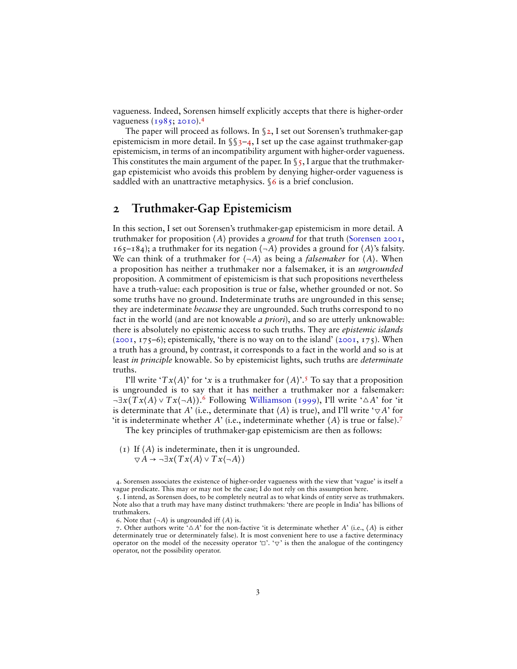vagueness. Indeed, Sorensen himself explicitly accepts that there is higher-order vagueness [\(1985;](#page-9-4) [2010\)](#page-9-5).<sup>[4](#page-2-0)</sup>

The paper will proceed as follows. In  $\S$ 2, I set out Sorensen's truthmaker-gap epistemicism in more detail. In  $\S_3$ -4, I set up the case against truthmaker-gap epistemicism, in terms of an incompatibility argument with higher-order vagueness. This constitutes the main argument of the paper. In  $\S$  5, I argue that the truthmakergap epistemicist who avoids this problem by denying higher-order vagueness is saddled with an unattractive metaphysics. [§6](#page-8-0) is a brief conclusion.

## <span id="page-2-1"></span>**2 Truthmaker-Gap Epistemicism**

In this section, I set out Sorensen's truthmaker-gap epistemicism in more detail. A truthmaker for proposition ⟨*A*⟩ provides a *ground* for that truth [\(Sorensen](#page-9-0) [2001,](#page-9-0) 165–184); a truthmaker for its negation  $\langle \neg A \rangle$  provides a ground for  $\langle A \rangle$ 's falsity. We can think of a truthmaker for  $\langle \neg A \rangle$  as being a *falsemaker* for  $\langle A \rangle$ . When a proposition has neither a truthmaker nor a falsemaker, it is an *ungrounded* proposition. A commitment of epistemicism is that such propositions nevertheless have a truth-value: each proposition is true or false, whether grounded or not. So some truths have no ground. Indeterminate truths are ungrounded in this sense; they are indeterminate *because* they are ungrounded. Such truths correspond to no fact in the world (and are not knowable *a priori*), and so are utterly unknowable: there is absolutely no epistemic access to such truths. They are *epistemic islands*  $(2001, 175-6)$  $(2001, 175-6)$ ; epistemically, 'there is no way on to the island'  $(2001, 175)$ . When a truth has a ground, by contrast, it corresponds to a fact in the world and so is at least *in principle* knowable. So by epistemicist lights, such truths are *determinate* truths.

I'll write ' $Tx(A)$ ' for '*x* is a truthmaker for  $\langle A \rangle$ '.<sup>[5](#page-2-2)</sup> To say that a proposition is ungrounded is to say that it has neither a truthmaker nor a falsemaker: ¬∃*x*(*T x*⟨*A*⟩ ∨ *T x*⟨¬*A*⟩). [6](#page-2-3) Following [Williamson](#page-10-1) [\(1999\)](#page-10-1), I'll write '△*A*' for 'it is determinate that *A*' (i.e., determinate that  $\langle A \rangle$  is true), and I'll write  $\forall A$ ' for 'it is indeterminate whether *A*' (i.e., indeterminate whether  $\langle A \rangle$  is true or false).<sup>[7](#page-2-4)</sup>

The key principles of truthmaker-gap epistemicism are then as follows:

<span id="page-2-5"></span>(1) If  $\langle A \rangle$  is indeterminate, then it is ungrounded.  $\nabla A \rightarrow \neg \exists x (Tx \langle A \rangle \vee Tx \langle \neg A \rangle)$ 

<span id="page-2-6"></span><span id="page-2-0"></span>4. Sorensen associates the existence of higher-order vagueness with the view that 'vague' is itself a vague predicate. This may or may not be the case; I do not rely on this assumption here.

<span id="page-2-4"></span><span id="page-2-3"></span>6. Note that  $\langle \neg A \rangle$  is ungrounded iff  $\langle A \rangle$  is.

<span id="page-2-2"></span><sup>5.</sup> I intend, as Sorensen does, to be completely neutral as to what kinds of entity serve as truthmakers. Note also that a truth may have many distinct truthmakers: 'there are people in India' has billions of truthmakers.

<sup>7.</sup> Other authors write ' $\Delta A$ ' for the non-factive 'it is determinate whether  $A$ ' (i.e.,  $\langle A \rangle$  is either determinately true or determinately false). It is most convenient here to use a factive determinacy operator on the model of the necessity operator ' $\Box'$ . ' $\nabla'$  is then the analogue of the contingency operator, not the possibility operator.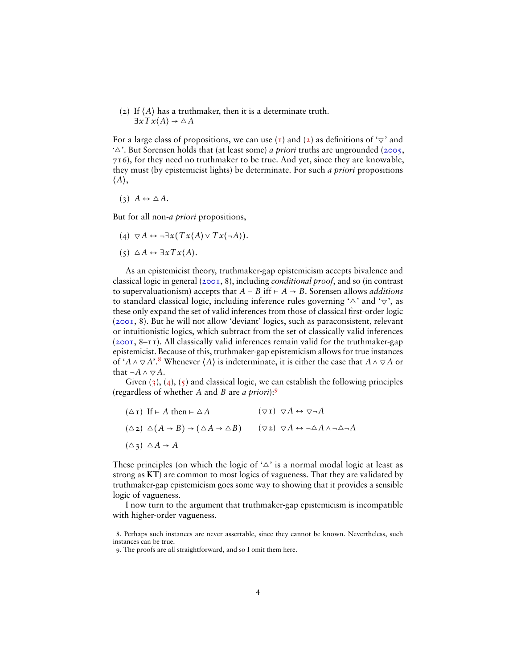(2) If ⟨*A*⟩ has a truthmaker, then it is a determinate truth.  $\exists x \, Tx \langle A \rangle \rightarrow \triangle A$ 

For a large class of propositions, we can use [\(1\)](#page-2-5) and [\(2\)](#page-2-6) as definitions of ' $\triangledown$ ' and '△'. But Sorensen holds that (at least some) *a priori* truths are ungrounded [\(2005,](#page-9-6) 716), for they need no truthmaker to be true. And yet, since they are knowable, they must (by epistemicist lights) be determinate. For such *a priori* propositions  $\langle A \rangle$ ,

<span id="page-3-1"></span>
$$
(3) A \leftrightarrow \triangle A.
$$

But for all non-*a priori* propositions,

- <span id="page-3-2"></span> $(4)$   $\nabla A \leftrightarrow \neg \exists x (Tx \langle A \rangle \vee Tx \langle \neg A \rangle).$
- <span id="page-3-3"></span> $(5) \Delta A \leftrightarrow \exists x T x \langle A \rangle$ .

As an epistemicist theory, truthmaker-gap epistemicism accepts bivalence and classical logic in general [\(2001,](#page-9-0) 8), including *conditional proof*, and so (in contrast to supervaluationism) accepts that  $A \vdash B$  iff  $\vdash A \rightarrow B$ . Sorensen allows *additions* to standard classical logic, including inference rules governing ' $\triangle$ ' and ' $\nabla$ ', as these only expand the set of valid inferences from those of classical first-order logic [\(2001,](#page-9-0) 8). But he will not allow 'deviant' logics, such as paraconsistent, relevant or intuitionistic logics, which subtract from the set of classically valid inferences [\(2001,](#page-9-0) 8–11). All classically valid inferences remain valid for the truthmaker-gap epistemicist. Because of this, truthmaker-gap epistemicism allows for true instances of ' $A \wedge \nabla A$ '.<sup>[8](#page-3-0)</sup> Whenever  $\langle A \rangle$  is indeterminate, it is either the case that  $A \wedge \nabla A$  or that  $\neg A \land \nabla A$ .

Given  $(3)$ ,  $(4)$ ,  $(5)$  and classical logic, we can establish the following principles (regardless of whether *A* and *B* are *a priori*):[9](#page-3-4)

$$
(\Delta I) \text{ If } \vdash A \text{ then } \vdash \Delta A \qquad (\nabla I) \ \nabla A \leftrightarrow \nabla \neg A
$$
\n
$$
(\Delta 2) \ \Delta(A \to B) \to (\Delta A \to \Delta B) \qquad (\nabla 2) \ \nabla A \leftrightarrow \neg \Delta A \land \neg \Delta \neg A
$$
\n
$$
(\Delta 3) \ \Delta A \to A
$$

These principles (on which the logic of ' $\triangle$ ' is a normal modal logic at least as strong as **KT**) are common to most logics of vagueness. That they are validated by truthmaker-gap epistemicism goes some way to showing that it provides a sensible logic of vagueness.

I now turn to the argument that truthmaker-gap epistemicism is incompatible with higher-order vagueness.

<span id="page-3-0"></span><sup>8.</sup> Perhaps such instances are never assertable, since they cannot be known. Nevertheless, such instances can be true.

<span id="page-3-4"></span><sup>9.</sup> The proofs are all straightforward, and so I omit them here.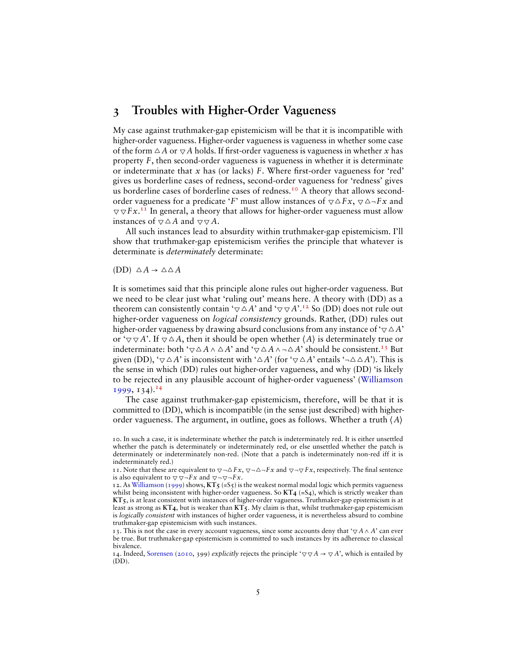#### <span id="page-4-0"></span>**3 Troubles with Higher-Order Vagueness**

My case against truthmaker-gap epistemicism will be that it is incompatible with higher-order vagueness. Higher-order vagueness is vagueness in whether some case of the form  $\triangle A$  or  $\nabla A$  holds. If first-order vagueness is vagueness in whether *x* has property *F*, then second-order vagueness is vagueness in whether it is determinate or indeterminate that x has (or lacks) F. Where first-order vagueness for 'red' gives us borderline cases of redness, second-order vagueness for 'redness' gives us borderline cases of borderline cases of redness.<sup>[10](#page-4-1)</sup> A theory that allows secondorder vagueness for a predicate '*F*' must allow instances of  $\nabla \Delta F x$ ,  $\nabla \Delta \neg F x$  and  $\nabla \nabla F \mathbf{x}$ <sup>[11](#page-4-2)</sup> In general, a theory that allows for higher-order vagueness must allow instances of  $\nabla \Delta A$  and  $\nabla \nabla A$ .

All such instances lead to absurdity within truthmaker-gap epistemicism. I'll show that truthmaker-gap epistemicism verifies the principle that whatever is determinate is *determinately* determinate:

 $(DD) \triangle A \rightarrow \triangle \triangle A$ 

It is sometimes said that this principle alone rules out higher-order vagueness. But we need to be clear just what 'ruling out' means here. A theory with (DD) as a theorem can consistently contain ' $\bigtriangledown \triangle A$ ' and ' $\bigtriangledown \bigtriangledown A$ '.<sup>[12](#page-4-3)</sup> So (DD) does not rule out higher-order vagueness on *logical consistency* grounds. Rather, (DD) rules out higher-order vagueness by drawing absurd conclusions from any instance of '▽△*A*' or ' $\forall \forall A$ '. If  $\forall \forall A$ , then it should be open whether  $\langle A \rangle$  is determinately true or indeterminate: both ' $\bigtriangledown \triangle A \wedge \triangle A'$  and ' $\bigtriangledown \triangle A \wedge \neg \triangle A'$ ' should be consistent.<sup>[13](#page-4-4)</sup> But given (DD),  $\forall \neg \triangle A$ ' is inconsistent with  $\land \triangle A'$  (for  $\forall \neg \triangle A'$ ) entails  $\land \triangle A'$ ). This is the sense in which (DD) rules out higher-order vagueness, and why (DD) 'is likely to be rejected in any plausible account of higher-order vagueness' [\(Williamson](#page-10-1)  $1999, 134$  $1999, 134$ <sup>[14](#page-4-5)</sup>

The case against truthmaker-gap epistemicism, therefore, will be that it is committed to (DD), which is incompatible (in the sense just described) with higherorder vagueness. The argument, in outline, goes as follows. Whether a truth ⟨*A*⟩

<span id="page-4-1"></span><sup>10.</sup> In such a case, it is indeterminate whether the patch is indeterminately red. It is either unsettled whether the patch is determinately or indeterminately red, or else unsettled whether the patch is determinately or indeterminately non-red. (Note that a patch is indeterminately non-red iff it is indeterminately red.)

<span id="page-4-2"></span><sup>11.</sup> Note that these are equivalent to  $\nabla \neg \Delta F x$ ,  $\nabla \neg \Delta \neg F x$  and  $\nabla \neg \nabla F x$ , respectively. The final sentence is also equivalent to  $\nabla \nabla \neg F x$  and  $\nabla \neg \nabla \neg F x$ .

<span id="page-4-3"></span><sup>12.</sup> As [Williamson](#page-10-1) [\(1999\)](#page-10-1) shows, **KT5** (=S5) is the weakest normal modal logic which permits vagueness whilst being inconsistent with higher-order vagueness. So  $KT_4$  (=S<sub>4</sub>), which is strictly weaker than **KT5**, is at least consistent with instances of higher-order vagueness. Truthmaker-gap epistemicism is at least as strong as **KT4**, but is weaker than **KT5**. My claim is that, whilst truthmaker-gap epistemicism is *logically consistent* with instances of higher order vagueness, it is nevertheless absurd to combine truthmaker-gap epistemicism with such instances.

<span id="page-4-4"></span><sup>13.</sup> This is not the case in every account vagueness, since some accounts deny that ' $\nabla A \wedge A'$ ' can ever be true. But truthmaker-gap epistemicism is committed to such instances by its adherence to classical bivalence.

<span id="page-4-5"></span><sup>14.</sup> Indeed, [Sorensen](#page-9-5) [\(2010,](#page-9-5) 399) *explicitly* rejects the principle ' $\nabla \nabla A \rightarrow \nabla A'$ , which is entailed by  $(DD)$ .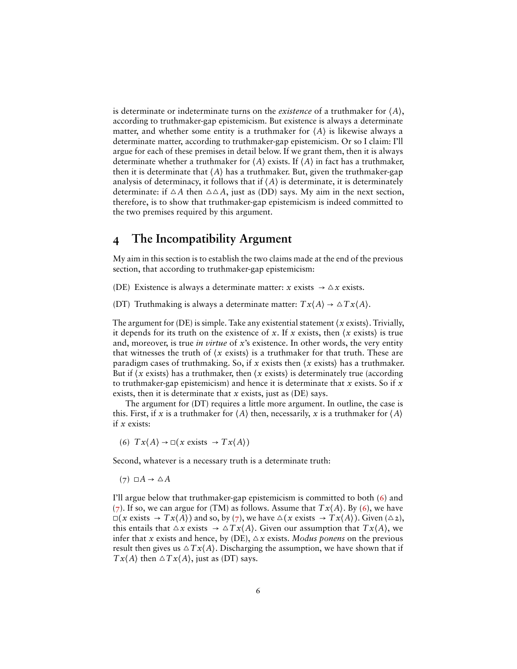is determinate or indeterminate turns on the *existence* of a truthmaker for ⟨*A*⟩, according to truthmaker-gap epistemicism. But existence is always a determinate matter, and whether some entity is a truthmaker for ⟨*A*⟩ is likewise always a determinate matter, according to truthmaker-gap epistemicism. Or so I claim: I'll argue for each of these premises in detail below. If we grant them, then it is always determinate whether a truthmaker for ⟨*A*⟩ exists. If ⟨*A*⟩ in fact has a truthmaker, then it is determinate that ⟨*A*⟩ has a truthmaker. But, given the truthmaker-gap analysis of determinacy, it follows that if  $\langle A \rangle$  is determinate, it is determinately determinate: if  $\triangle A$  then  $\triangle \triangle A$ , just as (DD) says. My aim in the next section, therefore, is to show that truthmaker-gap epistemicism is indeed committed to the two premises required by this argument.

#### <span id="page-5-0"></span>**4 The Incompatibility Argument**

My aim in this section is to establish the two claims made at the end of the previous section, that according to truthmaker-gap epistemicism:

(DE) Existence is always a determinate matter:  $x$  exists  $\rightarrow \Delta x$  exists.

(DT) Truthmaking is always a determinate matter:  $Tx\langle A \rangle \rightarrow \Delta Tx\langle A \rangle$ .

The argument for (DE) is simple. Take any existential statement  $\langle x \text{ exists} \rangle$ . Trivially, it depends for its truth on the existence of *x*. If *x* exists, then  $\langle x \rangle$  exists) is true and, moreover, is true *in virtue* of *x*'s existence. In other words, the very entity that witnesses the truth of  $\langle x \rangle$  exists) is a truthmaker for that truth. These are paradigm cases of truthmaking. So, if *x* exists then ⟨*x* exists⟩ has a truthmaker. But if  $\langle x \rangle$  exists) has a truthmaker, then  $\langle x \rangle$  exists) is determinately true (according to truthmaker-gap epistemicism) and hence it is determinate that *x* exists. So if *x* exists, then it is determinate that *x* exists, just as (DE) says.

The argument for (DT) requires a little more argument. In outline, the case is this. First, if *x* is a truthmaker for  $\langle A \rangle$  then, necessarily, *x* is a truthmaker for  $\langle A \rangle$ if *x* exists:

<span id="page-5-1"></span>(6)  $Tx\langle A\rangle \rightarrow \Box(x \text{ exists } \rightarrow Tx\langle A\rangle)$ 

Second, whatever is a necessary truth is a determinate truth:

<span id="page-5-2"></span> $(7)$   $\Box A \rightarrow \triangle A$ 

I'll argue below that truthmaker-gap epistemicism is committed to both [\(6\)](#page-5-1) and [\(7\)](#page-5-2). If so, we can argue for (TM) as follows. Assume that  $Tx(A)$ . By [\(6\)](#page-5-1), we have  $\Box(x \text{ exists } \rightarrow Tx \langle A \rangle)$  and so, by [\(7\)](#page-5-2), we have  $\Delta(x \text{ exists } \rightarrow Tx \langle A \rangle)$ . Given ( $\Delta z$ ), this entails that  $\Delta x$  exists  $\rightarrow \Delta Tx \langle A \rangle$ . Given our assumption that  $Tx \langle A \rangle$ , we infer that *x* exists and hence, by (DE),  $\Delta x$  exists. *Modus ponens* on the previous result then gives us  $\Delta Tx \langle A \rangle$ . Discharging the assumption, we have shown that if  $Tx\langle A \rangle$  then  $\triangle Tx\langle A \rangle$ , just as (DT) says.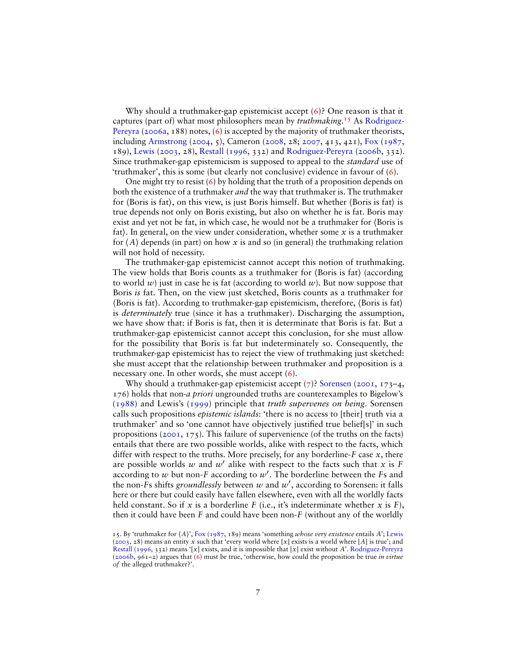Why should a truthmaker-gap epistemicist accept [\(6\)](#page-5-1)? One reason is that it captures (part of) what most philosophers mean by *truthmaking*. [15](#page-6-0) As [Rodriguez-](#page-9-7)[Pereyra](#page-9-7) [\(2006a,](#page-9-7) 188) notes, [\(6\)](#page-5-1) is accepted by the majority of truthmaker theorists, including [Armstrong](#page-9-8) [\(2004,](#page-9-8) 5), Cameron [\(2008,](#page-9-9) 28; [2007,](#page-9-10) 413, 421), [Fox](#page-9-11) [\(1987,](#page-9-11) 189), [Lewis](#page-9-12) [\(2003,](#page-9-12) 28), [Restall](#page-9-13) [\(1996,](#page-9-13) 332) and [Rodriguez-Pereyra](#page-9-14) [\(2006b,](#page-9-14) 332). Since truthmaker-gap epistemicism is supposed to appeal to the *standard* use of 'truthmaker', this is some (but clearly not conclusive) evidence in favour of [\(6\)](#page-5-1).

One might try to resist [\(6\)](#page-5-1) by holding that the truth of a proposition depends on both the existence of a truthmaker *and* the way that truthmaker is. The truthmaker for ⟨Boris is fat⟩, on this view, is just Boris himself. But whether ⟨Boris is fat⟩ is true depends not only on Boris existing, but also on whether he is fat. Boris may exist and yet not be fat, in which case, he would not be a truthmaker for ⟨Boris is fat). In general, on the view under consideration, whether some  $x$  is a truthmaker for  $\langle A \rangle$  depends (in part) on how x is and so (in general) the truthmaking relation will not hold of necessity.

The truthmaker-gap epistemicist cannot accept this notion of truthmaking. The view holds that Boris counts as a truthmaker for ⟨Boris is fat⟩ (according to world  $w$ ) just in case he is fat (according to world  $w$ ). But now suppose that Boris *is* fat. Then, on the view just sketched, Boris counts as a truthmaker for ⟨Boris is fat⟩. According to truthmaker-gap epistemicism, therefore, ⟨Boris is fat⟩ is *determinately* true (since it has a truthmaker). Discharging the assumption, we have show that: if Boris is fat, then it is determinate that Boris is fat. But a truthmaker-gap epistemicist cannot accept this conclusion, for she must allow for the possibility that Boris is fat but indeterminately so. Consequently, the truthmaker-gap epistemicist has to reject the view of truthmaking just sketched: she must accept that the relationship between truthmaker and proposition is a necessary one. In other words, she must accept [\(6\)](#page-5-1).

Why should a truthmaker-gap epistemicist accept  $(7)$ ? [Sorensen](#page-9-0) [\(2001,](#page-9-0) 173–4, 176) holds that non-*a priori* ungrounded truths are counterexamples to Bigelow's [\(1988\)](#page-9-15) and Lewis's [\(1999\)](#page-9-16) principle that *truth supervenes on being*. Sorensen calls such propositions *epistemic islands*: 'there is no access to [their] truth via a truthmaker' and so 'one cannot have objectively justified true belief[s]' in such propositions  $(2001, 175)$  $(2001, 175)$ . This failure of supervenience (of the truths on the facts) entails that there are two possible worlds, alike with respect to the facts, which differ with respect to the truths. More precisely, for any borderline-*F* case *x*, there are possible worlds  $w$  and  $w'$  alike with respect to the facts such that  $x$  is  $F$ according to *w* but non-*F* according to *w*′ . The borderline between the *F*s and the non-*F*s shifts *groundlessly* between *w* and *w*′ , according to Sorensen: it falls here or there but could easily have fallen elsewhere, even with all the worldly facts held constant. So if  $x$  is a borderline  $F$  (i.e., it's indeterminate whether  $x$  is  $F$ ), then it could have been *F* and could have been non-*F* (without any of the worldly

<span id="page-6-0"></span><sup>15.</sup> By 'truthmaker for ⟨*A*⟩', [Fox](#page-9-11) [\(1987,](#page-9-11) 189) means 'something *whose very existence* entails *A*'; [Lewis](#page-9-12) [\(2003,](#page-9-12) 28) means an entity *x* such that 'every world where [*x*] exists is a world where [*A*] is true'; and [Restall](#page-9-13) [\(1996,](#page-9-13) 332) means '[*x*] exists, and it is impossible that [*x*] exist without *A*'. [Rodriguez-Pereyra](#page-9-14) [\(2006b,](#page-9-14) 961–2) argues that [\(6\)](#page-5-1) must be true, 'otherwise, how could the proposition be true *in virtue of* the alleged truthmaker?'.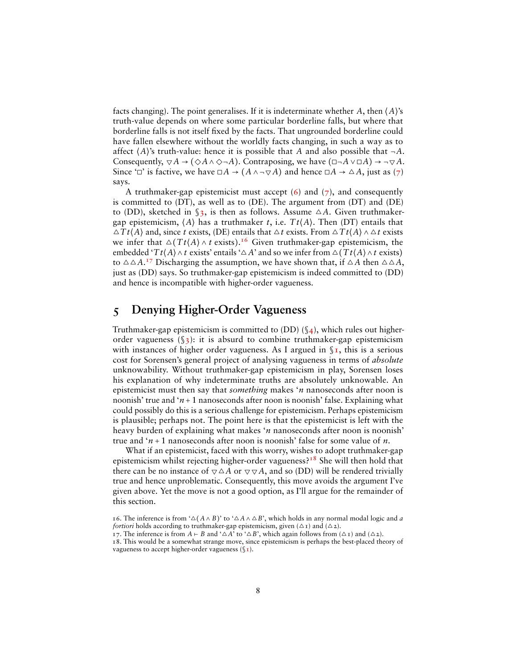facts changing). The point generalises. If it is indeterminate whether *A*, then ⟨*A*⟩'s truth-value depends on where some particular borderline falls, but where that borderline falls is not itself fixed by the facts. That ungrounded borderline could have fallen elsewhere without the worldly facts changing, in such a way as to affect  $\langle A \rangle$ 's truth-value: hence it is possible that *A* and also possible that  $\neg A$ . Consequently,  $\nabla A \rightarrow (\Diamond A \land \Diamond \neg A)$ . Contraposing, we have  $(\Box \neg A \lor \Box A) \rightarrow \neg \nabla A$ . Since '□' is factive, we have  $\Box A \rightarrow (A \land \neg \nabla A)$  and hence  $\Box A \rightarrow \triangle A$ , just as [\(7\)](#page-5-2) says.

A truthmaker-gap epistemicist must accept  $(6)$  and  $(7)$ , and consequently is committed to (DT), as well as to (DE). The argument from (DT) and (DE) to (DD), sketched in  $\S$ 3, is then as follows. Assume  $\triangle A$ . Given truthmakergap epistemicism,  $\langle A \rangle$  has a truthmaker *t*, i.e.  $T t \langle A \rangle$ . Then (DT) entails that  $\triangle T t \langle A \rangle$  and, since *t* exists, (DE) entails that  $\triangle t$  exists. From  $\triangle T t \langle A \rangle \wedge \triangle t$  exists we infer that  $\Delta(Tt\langle A\rangle \wedge t$  exists).<sup>[16](#page-7-1)</sup> Given truthmaker-gap epistemicism, the embedded ' $T t$ ⟨*A*⟩ ∧ *t* exists' entails ' $\triangle A$ ' and so we infer from  $\triangle(T t \langle A \rangle \wedge t$  exists) to  $\triangle \triangle A$ .<sup>[17](#page-7-2)</sup> Discharging the assumption, we have shown that, if  $\triangle A$  then  $\triangle \triangle A$ , just as (DD) says. So truthmaker-gap epistemicism is indeed committed to (DD) and hence is incompatible with higher-order vagueness.

# <span id="page-7-0"></span>**5 Denying Higher-Order Vagueness**

Truthmaker-gap epistemicism is committed to  $(DD)$  ( $\frac{1}{4}$ ), which rules out higherorder vagueness  $(\S_3)$ : it is absurd to combine truthmaker-gap epistemicism with instances of higher order vagueness. As I argued in  $\S$ I, this is a serious cost for Sorensen's general project of analysing vagueness in terms of *absolute* unknowability. Without truthmaker-gap epistemicism in play, Sorensen loses his explanation of why indeterminate truths are absolutely unknowable. An epistemicist must then say that *something* makes '*n* nanoseconds after noon is noonish' true and ' $n + 1$  nanoseconds after noon is noonish' false. Explaining what could possibly do this is a serious challenge for epistemicism. Perhaps epistemicism is plausible; perhaps not. The point here is that the epistemicist is left with the heavy burden of explaining what makes '*n* nanoseconds after noon is noonish' true and '*n* + 1 nanoseconds after noon is noonish' false for some value of *n*.

What if an epistemicist, faced with this worry, wishes to adopt truthmaker-gap epistemicism whilst rejecting higher-order vagueness?<sup>[18](#page-7-3)</sup> She will then hold that there can be no instance of  $\nabla \Delta A$  or  $\nabla \nabla A$ , and so (DD) will be rendered trivially true and hence unproblematic. Consequently, this move avoids the argument I've given above. Yet the move is not a good option, as I'll argue for the remainder of this section.

<span id="page-7-1"></span><sup>16.</sup> The inference is from ' $\Delta(A \wedge B)$ ' to ' $\Delta A \wedge \Delta B$ ', which holds in any normal modal logic and *a fortiori* holds according to truthmaker-gap epistemicism, given  $(\Delta \tau)$  and  $(\Delta z)$ .

<span id="page-7-2"></span><sup>17.</sup> The inference is from *A* ⊢ *B* and ' $\triangle A$ ' to ' $\triangle B$ ', which again follows from ( $\triangle$ 1) and ( $\triangle$ 2).

<span id="page-7-3"></span><sup>18.</sup> This would be a somewhat strange move, since epistemicism is perhaps the best-placed theory of vagueness to accept higher-order vagueness  $(\S_1)$ .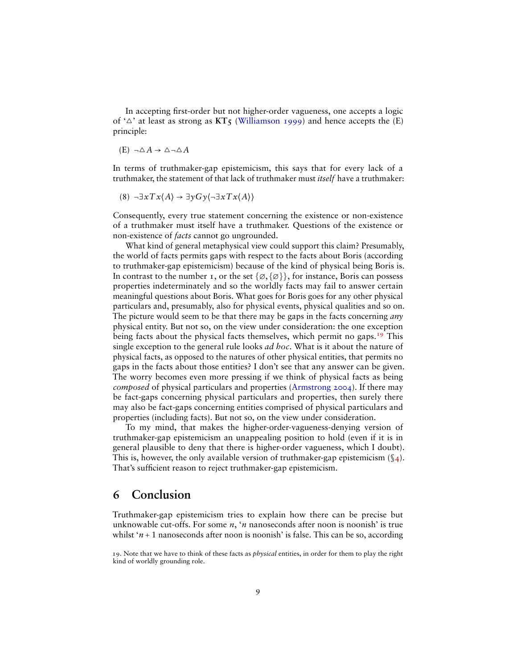In accepting first-order but not higher-order vagueness, one accepts a logic of ' $\triangle$ ' at least as strong as  $KT_5$  [\(Williamson](#page-10-1) [1999\)](#page-10-1) and hence accepts the (E) principle:

$$
(E) \neg \triangle A \rightarrow \triangle \neg \triangle A
$$

In terms of truthmaker-gap epistemicism, this says that for every lack of a truthmaker, the statement of that lack of truthmaker must *itself* have a truthmaker:

$$
(8) \quad \exists x \, Tx \langle A \rangle \rightarrow \exists y \, G \, y \langle \neg \exists x \, Tx \langle A \rangle \rangle
$$

Consequently, every true statement concerning the existence or non-existence of a truthmaker must itself have a truthmaker. Questions of the existence or non-existence of *facts* cannot go ungrounded.

What kind of general metaphysical view could support this claim? Presumably, the world of facts permits gaps with respect to the facts about Boris (according to truthmaker-gap epistemicism) because of the kind of physical being Boris is. In contrast to the number 1, or the set  $\{\emptyset, \{\emptyset\}\}\$ , for instance, Boris can possess properties indeterminately and so the worldly facts may fail to answer certain meaningful questions about Boris. What goes for Boris goes for any other physical particulars and, presumably, also for physical events, physical qualities and so on. The picture would seem to be that there may be gaps in the facts concerning *any* physical entity. But not so, on the view under consideration: the one exception being facts about the physical facts themselves, which permit no gaps.[19](#page-8-1) This single exception to the general rule looks *ad hoc*. What is it about the nature of physical facts, as opposed to the natures of other physical entities, that permits no gaps in the facts about those entities? I don't see that any answer can be given. The worry becomes even more pressing if we think of physical facts as being *composed* of physical particulars and properties [\(Armstrong](#page-9-8) [2004\)](#page-9-8). If there may be fact-gaps concerning physical particulars and properties, then surely there may also be fact-gaps concerning entities comprised of physical particulars and properties (including facts). But not so, on the view under consideration.

To my mind, that makes the higher-order-vagueness-denying version of truthmaker-gap epistemicism an unappealing position to hold (even if it is in general plausible to deny that there is higher-order vagueness, which I doubt). This is, however, the only available version of truthmaker-gap epistemicism  $(\mathcal{S}_4)$ . That's sufficient reason to reject truthmaker-gap epistemicism.

#### <span id="page-8-0"></span>**6 Conclusion**

Truthmaker-gap epistemicism tries to explain how there can be precise but unknowable cut-offs. For some *n*, '*n* nanoseconds after noon is noonish' is true whilst  $n+1$  nanoseconds after noon is noonish' is false. This can be so, according

<span id="page-8-1"></span><sup>19.</sup> Note that we have to think of these facts as *physical* entities, in order for them to play the right kind of worldly grounding role.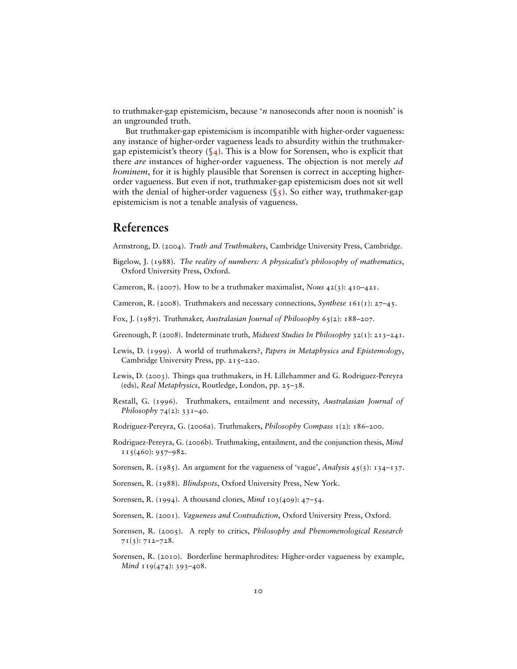to truthmaker-gap epistemicism, because '*n* nanoseconds after noon is noonish' is an ungrounded truth.

But truthmaker-gap epistemicism is incompatible with higher-order vagueness: any instance of higher-order vagueness leads to absurdity within the truthmakergap epistemicist's theory  $(\S_4)$ . This is a blow for Sorensen, who is explicit that there *are* instances of higher-order vagueness. The objection is not merely *ad hominem*, for it is highly plausible that Sorensen is correct in accepting higherorder vagueness. But even if not, truthmaker-gap epistemicism does not sit well with the denial of higher-order vagueness  $(\xi_5)$ . So either way, truthmaker-gap epistemicism is not a tenable analysis of vagueness.

#### **References**

<span id="page-9-8"></span>Armstrong, D. (2004). *Truth and Truthmakers*, Cambridge University Press, Cambridge.

<span id="page-9-15"></span>Bigelow, J. (1988). *The reality of numbers: A physicalist's philosophy of mathematics*, Oxford University Press, Oxford.

<span id="page-9-10"></span>Cameron, R. (2007). How to be a truthmaker maximalist, *Nous* 42(3): 410–421.

<span id="page-9-9"></span>Cameron, R. (2008). Truthmakers and necessary connections, *Synthese* 161(1): 27–45.

<span id="page-9-11"></span>Fox, J. (1987). Truthmaker, *Australasian Journal of Philosophy* 65(2): 188–207.

<span id="page-9-3"></span>Greenough, P. (2008). Indeterminate truth, *Midwest Studies In Philosophy* 32(1): 213–241.

- <span id="page-9-16"></span>Lewis, D. (1999). A world of truthmakers?, *Papers in Metaphysics and Epistemology*, Cambridge University Press, pp. 215-220.
- <span id="page-9-12"></span>Lewis, D. (2003). Things qua truthmakers, in H. Lillehammer and G. Rodriguez-Pereyra (eds), *Real Metaphysics*, Routledge, London, pp. 25–38.
- <span id="page-9-13"></span>Restall, G. (1996). Truthmakers, entailment and necessity, *Australasian Journal of Philosophy* 74(2): 331–40.
- <span id="page-9-7"></span>Rodriguez-Pereyra, G. (2006a). Truthmakers, *Philosophy Compass* 1(2): 186–200.
- <span id="page-9-14"></span>Rodriguez-Pereyra, G. (2006b). Truthmaking, entailment, and the conjunction thesis, *Mind*  $115(460): 957-982.$
- <span id="page-9-4"></span>Sorensen, R. (1985). An argument for the vagueness of 'vague', *Analysis* 45(3): 134–137.
- <span id="page-9-1"></span>Sorensen, R. (1988). *Blindspots*, Oxford University Press, New York.
- <span id="page-9-2"></span>Sorensen, R. (1994). A thousand clones, *Mind* 103(409): 47–54.
- <span id="page-9-0"></span>Sorensen, R. (2001). *Vagueness and Contradiction*, Oxford University Press, Oxford.
- <span id="page-9-6"></span>Sorensen, R. (2005). A reply to critics, *Philosophy and Phenomenological Research*  $71(3): 712 - 728.$
- <span id="page-9-5"></span>Sorensen, R. (2010). Borderline hermaphrodites: Higher-order vagueness by example, *Mind* 119(474): 393-408.